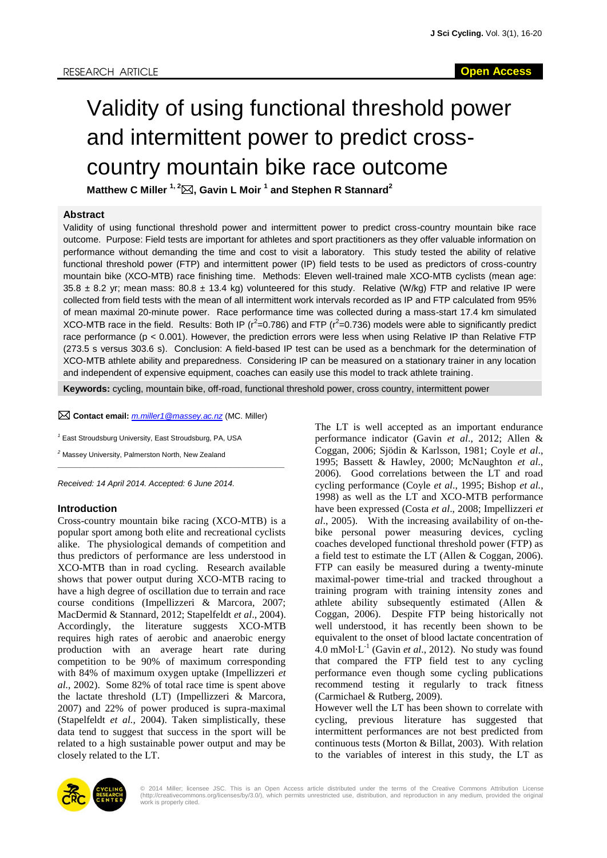# Validity of using functional threshold power and intermittent power to predict crosscountry mountain bike race outcome

**Matthew C Miller 1, 2, Gavin L Moir <sup>1</sup> and Stephen R Stannard<sup>2</sup>**

#### **Abstract**

Validity of using functional threshold power and intermittent power to predict cross-country mountain bike race outcome. Purpose: Field tests are important for athletes and sport practitioners as they offer valuable information on performance without demanding the time and cost to visit a laboratory. This study tested the ability of relative functional threshold power (FTP) and intermittent power (IP) field tests to be used as predictors of cross-country mountain bike (XCO-MTB) race finishing time. Methods: Eleven well-trained male XCO-MTB cyclists (mean age:  $35.8 \pm 8.2$  yr; mean mass:  $80.8 \pm 13.4$  kg) volunteered for this study. Relative (W/kg) FTP and relative IP were collected from field tests with the mean of all intermittent work intervals recorded as IP and FTP calculated from 95% of mean maximal 20-minute power. Race performance time was collected during a mass-start 17.4 km simulated XCO-MTB race in the field. Results: Both IP ( $r^2$ =0.786) and FTP ( $r^2$ =0.736) models were able to significantly predict race performance (p < 0.001). However, the prediction errors were less when using Relative IP than Relative FTP (273.5 s versus 303.6 s). Conclusion: A field-based IP test can be used as a benchmark for the determination of XCO-MTB athlete ability and preparedness. Considering IP can be measured on a stationary trainer in any location and independent of expensive equipment, coaches can easily use this model to track athlete training.

**Keywords:** cycling, mountain bike, off-road, functional threshold power, cross country, intermittent power

**Contact email:** *[m.miller1@massey.ac.nz](mailto:m.miller1@massey.ac.nz)* (MC. Miller)

*<sup>1</sup>* East Stroudsburg University, East Stroudsburg, PA, USA

*<sup>2</sup>* Massey University, Palmerston North, New Zealand \_\_\_\_\_\_\_\_\_\_\_\_\_\_\_\_\_\_\_\_\_\_\_\_\_\_\_\_\_\_\_\_\_\_\_\_\_\_\_\_\_\_\_\_\_\_\_\_\_\_

*Received: 14 April 2014. Accepted: 6 June 2014.*

#### **Introduction**

Cross-country mountain bike racing (XCO-MTB) is a popular sport among both elite and recreational cyclists alike. The physiological demands of competition and thus predictors of performance are less understood in XCO-MTB than in road cycling. Research available shows that power output during XCO-MTB racing to have a high degree of oscillation due to terrain and race course conditions (Impellizzeri & Marcora, 2007; MacDermid & Stannard, 2012; Stapelfeldt *et al*., 2004). Accordingly, the literature suggests XCO-MTB requires high rates of aerobic and anaerobic energy production with an average heart rate during competition to be 90% of maximum corresponding with 84% of maximum oxygen uptake (Impellizzeri *et al.,* 2002). Some 82% of total race time is spent above the lactate threshold (LT) (Impellizzeri & Marcora, 2007) and 22% of power produced is supra-maximal (Stapelfeldt *et al.*, 2004). Taken simplistically, these data tend to suggest that success in the sport will be related to a high sustainable power output and may be closely related to the LT.

The LT is well accepted as an important endurance performance indicator (Gavin *et al*., 2012; Allen & Coggan, 2006; Sjödin & Karlsson, 1981; Coyle *et al*., 1995; Bassett & Hawley, 2000; McNaughton *et al*., 2006). Good correlations between the LT and road cycling performance (Coyle *et al*., 1995; Bishop *et al.*, 1998) as well as the LT and XCO-MTB performance have been expressed (Costa *et al*., 2008; Impellizzeri *et al*., 2005). With the increasing availability of on-thebike personal power measuring devices, cycling coaches developed functional threshold power (FTP) as a field test to estimate the LT (Allen & Coggan, 2006). FTP can easily be measured during a twenty-minute maximal-power time-trial and tracked throughout a training program with training intensity zones and athlete ability subsequently estimated (Allen & Coggan, 2006). Despite FTP being historically not well understood, it has recently been shown to be equivalent to the onset of blood lactate concentration of 4.0 mMol∙L-1 (Gavin *et al*., 2012). No study was found that compared the FTP field test to any cycling performance even though some cycling publications recommend testing it regularly to track fitness (Carmichael & Rutberg, 2009).

However well the LT has been shown to correlate with cycling, previous literature has suggested that intermittent performances are not best predicted from continuous tests (Morton & Billat, 2003). With relation to the variables of interest in this study, the LT as



© 2014 Miller; licensee JSC. This is an Open Access article distributed under the terms of the Creative Commons Attribution License<br>(http://creativecommons.org/licenses/by/3.0/), which permits unrestricted use, distributio work is properly cited.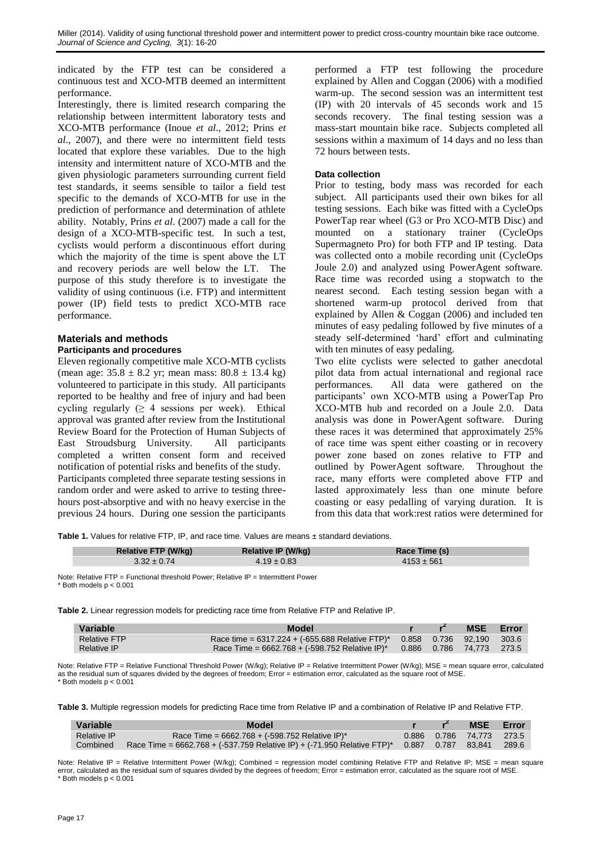indicated by the FTP test can be considered a continuous test and XCO-MTB deemed an intermittent performance.

Interestingly, there is limited research comparing the relationship between intermittent laboratory tests and XCO-MTB performance (Inoue *et al*., 2012; Prins *et al*., 2007), and there were no intermittent field tests located that explore these variables. Due to the high intensity and intermittent nature of XCO-MTB and the given physiologic parameters surrounding current field test standards, it seems sensible to tailor a field test specific to the demands of XCO-MTB for use in the prediction of performance and determination of athlete ability. Notably, Prins *et al*. (2007) made a call for the design of a XCO-MTB-specific test. In such a test, cyclists would perform a discontinuous effort during which the majority of the time is spent above the LT and recovery periods are well below the LT. The purpose of this study therefore is to investigate the validity of using continuous (i.e. FTP) and intermittent power (IP) field tests to predict XCO-MTB race performance.

# **Materials and methods Participants and procedures**

Eleven regionally competitive male XCO-MTB cyclists (mean age:  $35.8 \pm 8.2$  yr; mean mass:  $80.8 \pm 13.4$  kg) volunteered to participate in this study. All participants reported to be healthy and free of injury and had been cycling regularly  $(≥ 4$  sessions per week). Ethical approval was granted after review from the Institutional Review Board for the Protection of Human Subjects of East Stroudsburg University. All participants completed a written consent form and received notification of potential risks and benefits of the study. Participants completed three separate testing sessions in random order and were asked to arrive to testing threehours post-absorptive and with no heavy exercise in the previous 24 hours. During one session the participants

performed a FTP test following the procedure explained by Allen and Coggan (2006) with a modified warm-up. The second session was an intermittent test (IP) with 20 intervals of 45 seconds work and 15 seconds recovery. The final testing session was a mass-start mountain bike race. Subjects completed all sessions within a maximum of 14 days and no less than 72 hours between tests.

#### **Data collection**

Prior to testing, body mass was recorded for each subject. All participants used their own bikes for all testing sessions. Each bike was fitted with a CycleOps PowerTap rear wheel (G3 or Pro XCO-MTB Disc) and mounted on a stationary trainer (CycleOps Supermagneto Pro) for both FTP and IP testing. Data was collected onto a mobile recording unit (CycleOps Joule 2.0) and analyzed using PowerAgent software. Race time was recorded using a stopwatch to the nearest second. Each testing session began with a shortened warm-up protocol derived from that explained by Allen & Coggan (2006) and included ten minutes of easy pedaling followed by five minutes of a steady self-determined 'hard' effort and culminating with ten minutes of easy pedaling.

Two elite cyclists were selected to gather anecdotal pilot data from actual international and regional race performances. All data were gathered on the participants' own XCO-MTB using a PowerTap Pro XCO-MTB hub and recorded on a Joule 2.0. Data analysis was done in PowerAgent software. During these races it was determined that approximately 25% of race time was spent either coasting or in recovery power zone based on zones relative to FTP and outlined by PowerAgent software. Throughout the race, many efforts were completed above FTP and lasted approximately less than one minute before coasting or easy pedalling of varying duration. It is from this data that work:rest ratios were determined for

**Table 1.** Values for relative FTP, IP, and race time. Values are means ± standard deviations.

| Relative FTP (W/kg) | Relative IP (W/kg) | Race Time (s)  |  |
|---------------------|--------------------|----------------|--|
| $3.32 \pm 0.74$     | $4.19 \pm 0.83$    | $4153 \pm 561$ |  |

Note: Relative FTP = Functional threshold Power; Relative IP = Intermittent Power  $*$  Both models  $p < 0.001$ 

**Table 2.** Linear regression models for predicting race time from Relative FTP and Relative IP.

| Variable            | Model                                                                        |  | <b>MSE</b> Error |  |
|---------------------|------------------------------------------------------------------------------|--|------------------|--|
| <b>Relative FTP</b> | Race time = $6317.224 + (-655.688$ Relative FTP)* $0.858$ 0.736 92,190 303.6 |  |                  |  |
| <b>Relative IP</b>  | Race Time = $6662.768 + (-598.752$ Relative IP)* 0.886 0.786 74.773 273.5    |  |                  |  |

Note: Relative FTP = Relative Functional Threshold Power (W/kg); Relative IP = Relative Intermittent Power (W/kg); MSE = mean square error, calculated as the residual sum of squares divided by the degrees of freedom; Error = estimation error, calculated as the square root of MSE.  $*$  Both models  $p < 0.001$ 

**Table 3.** Multiple regression models for predicting Race time from Relative IP and a combination of Relative IP and Relative FTP.

| Variable           | Model                                                                                            |  | r <sup>2</sup> MSE Error |  |
|--------------------|--------------------------------------------------------------------------------------------------|--|--------------------------|--|
| <b>Relative IP</b> | Race Time = $6662.768 + (-598.752$ Relative IP)*                                                 |  | 0.886 0.786 74.773 273.5 |  |
| Combined           | Race Time = 6662.768 + (-537.759 Relative IP) + (-71.950 Relative FTP)* 0.887 0.787 83,841 289.6 |  |                          |  |

Note: Relative IP = Relative Intermittent Power (W/kg); Combined = regression model combining Relative FTP and Relative IP; MSE = mean square error, calculated as the residual sum of squares divided by the degrees of freedom; Error = estimation error, calculated as the square root of MSE.  $*$  Both models  $p < 0.001$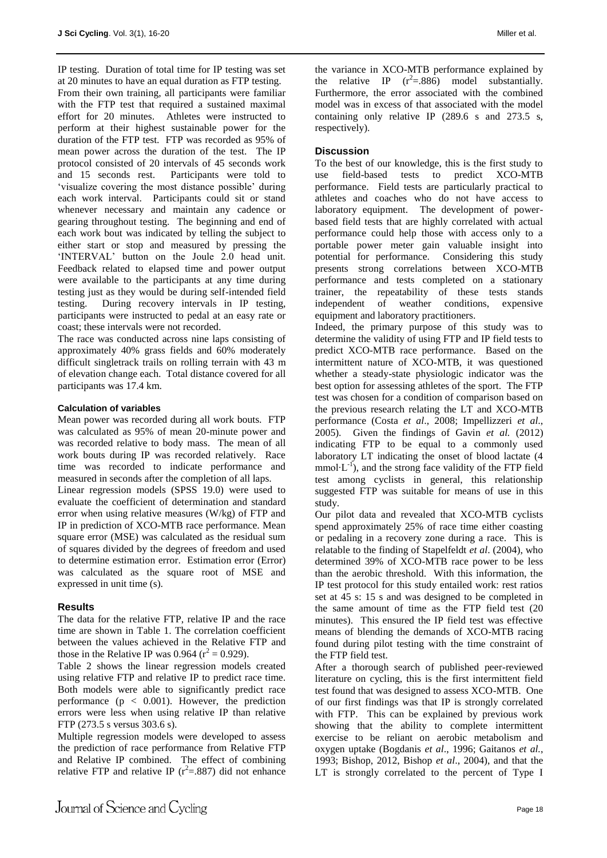IP testing. Duration of total time for IP testing was set at 20 minutes to have an equal duration as FTP testing. From their own training, all participants were familiar with the FTP test that required a sustained maximal effort for 20 minutes. Athletes were instructed to perform at their highest sustainable power for the duration of the FTP test. FTP was recorded as 95% of mean power across the duration of the test. The IP protocol consisted of 20 intervals of 45 seconds work and 15 seconds rest. Participants were told to 'visualize covering the most distance possible' during each work interval. Participants could sit or stand whenever necessary and maintain any cadence or gearing throughout testing. The beginning and end of each work bout was indicated by telling the subject to either start or stop and measured by pressing the 'INTERVAL' button on the Joule 2.0 head unit. Feedback related to elapsed time and power output were available to the participants at any time during testing just as they would be during self-intended field testing. During recovery intervals in IP testing, participants were instructed to pedal at an easy rate or coast; these intervals were not recorded.

The race was conducted across nine laps consisting of approximately 40% grass fields and 60% moderately difficult singletrack trails on rolling terrain with 43 m of elevation change each. Total distance covered for all participants was 17.4 km.

#### **Calculation of variables**

Mean power was recorded during all work bouts. FTP was calculated as 95% of mean 20-minute power and was recorded relative to body mass. The mean of all work bouts during IP was recorded relatively. Race time was recorded to indicate performance and measured in seconds after the completion of all laps.

Linear regression models (SPSS 19.0) were used to evaluate the coefficient of determination and standard error when using relative measures (W/kg) of FTP and IP in prediction of XCO-MTB race performance. Mean square error (MSE) was calculated as the residual sum of squares divided by the degrees of freedom and used to determine estimation error. Estimation error (Error) was calculated as the square root of MSE and expressed in unit time (s).

#### **Results**

The data for the relative FTP, relative IP and the race time are shown in Table 1. The correlation coefficient between the values achieved in the Relative FTP and those in the Relative IP was 0.964 ( $r^2 = 0.929$ ).

Table 2 shows the linear regression models created using relative FTP and relative IP to predict race time. Both models were able to significantly predict race performance ( $p < 0.001$ ). However, the prediction errors were less when using relative IP than relative FTP (273.5 s versus 303.6 s).

Multiple regression models were developed to assess the prediction of race performance from Relative FTP and Relative IP combined. The effect of combining relative FTP and relative IP  $(r^2 = .887)$  did not enhance

the variance in XCO-MTB performance explained by the relative IP  $(r^2 = .886)$  model substantially. Furthermore, the error associated with the combined model was in excess of that associated with the model containing only relative IP (289.6 s and 273.5 s, respectively).

### **Discussion**

To the best of our knowledge, this is the first study to use field-based tests to predict XCO-MTB performance. Field tests are particularly practical to athletes and coaches who do not have access to laboratory equipment. The development of powerbased field tests that are highly correlated with actual performance could help those with access only to a portable power meter gain valuable insight into potential for performance. Considering this study presents strong correlations between XCO-MTB performance and tests completed on a stationary trainer, the repeatability of these tests stands independent of weather conditions, expensive equipment and laboratory practitioners.

Indeed, the primary purpose of this study was to determine the validity of using FTP and IP field tests to predict XCO-MTB race performance. Based on the intermittent nature of XCO-MTB, it was questioned whether a steady-state physiologic indicator was the best option for assessing athletes of the sport. The FTP test was chosen for a condition of comparison based on the previous research relating the LT and XCO-MTB performance (Costa *et al*., 2008; Impellizzeri *et al*., 2005). Given the findings of Gavin *et al.* (2012) indicating FTP to be equal to a commonly used laboratory LT indicating the onset of blood lactate (4 mmol⋅L<sup>-1</sup>), and the strong face validity of the FTP field test among cyclists in general, this relationship suggested FTP was suitable for means of use in this study.

Our pilot data and revealed that XCO-MTB cyclists spend approximately 25% of race time either coasting or pedaling in a recovery zone during a race. This is relatable to the finding of Stapelfeldt *et al*. (2004), who determined 39% of XCO-MTB race power to be less than the aerobic threshold. With this information, the IP test protocol for this study entailed work: rest ratios set at 45 s: 15 s and was designed to be completed in the same amount of time as the FTP field test (20 minutes). This ensured the IP field test was effective means of blending the demands of XCO-MTB racing found during pilot testing with the time constraint of the FTP field test.

After a thorough search of published peer-reviewed literature on cycling, this is the first intermittent field test found that was designed to assess XCO-MTB. One of our first findings was that IP is strongly correlated with FTP. This can be explained by previous work showing that the ability to complete intermittent exercise to be reliant on aerobic metabolism and oxygen uptake (Bogdanis *et al*., 1996; Gaitanos *et al.*, 1993; Bishop, 2012, Bishop *et al*., 2004), and that the LT is strongly correlated to the percent of Type I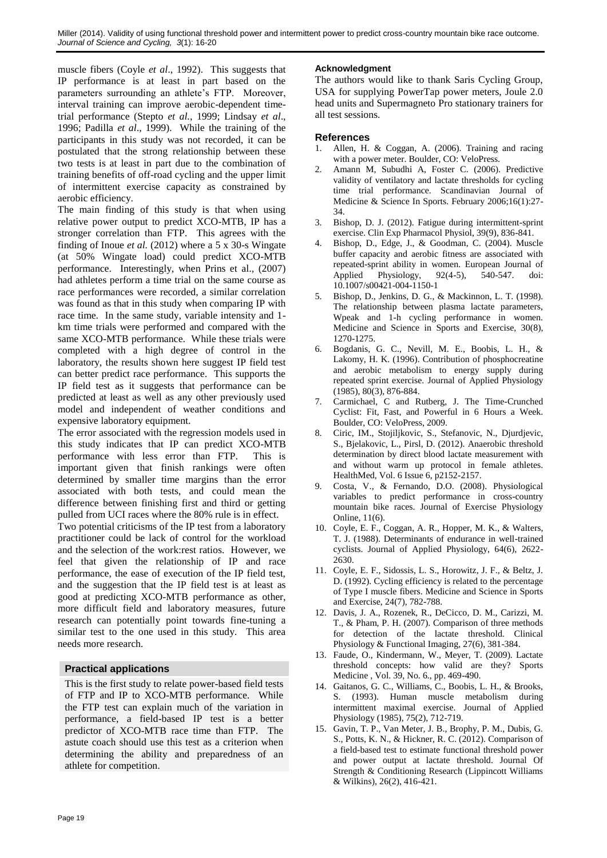muscle fibers (Coyle *et al*., 1992). This suggests that IP performance is at least in part based on the parameters surrounding an athlete's FTP. Moreover, interval training can improve aerobic-dependent timetrial performance (Stepto *et al.*, 1999; Lindsay *et al*., 1996; Padilla *et al*., 1999). While the training of the participants in this study was not recorded, it can be postulated that the strong relationship between these two tests is at least in part due to the combination of training benefits of off-road cycling and the upper limit of intermittent exercise capacity as constrained by aerobic efficiency.

The main finding of this study is that when using relative power output to predict XCO-MTB, IP has a stronger correlation than FTP. This agrees with the finding of Inoue *et al.* (2012) where a 5 x 30-s Wingate (at 50% Wingate load) could predict XCO-MTB performance. Interestingly, when Prins et al., (2007) had athletes perform a time trial on the same course as race performances were recorded, a similar correlation was found as that in this study when comparing IP with race time. In the same study, variable intensity and 1 km time trials were performed and compared with the same XCO-MTB performance. While these trials were completed with a high degree of control in the laboratory, the results shown here suggest IP field test can better predict race performance. This supports the IP field test as it suggests that performance can be predicted at least as well as any other previously used model and independent of weather conditions and expensive laboratory equipment.

The error associated with the regression models used in this study indicates that IP can predict XCO-MTB performance with less error than FTP. This is important given that finish rankings were often determined by smaller time margins than the error associated with both tests, and could mean the difference between finishing first and third or getting pulled from UCI races where the 80% rule is in effect.

Two potential criticisms of the IP test from a laboratory practitioner could be lack of control for the workload and the selection of the work:rest ratios. However, we feel that given the relationship of IP and race performance, the ease of execution of the IP field test, and the suggestion that the IP field test is at least as good at predicting XCO-MTB performance as other, more difficult field and laboratory measures, future research can potentially point towards fine-tuning a similar test to the one used in this study. This area needs more research.

# **Practical applications**

This is the first study to relate power-based field tests of FTP and IP to XCO-MTB performance. While the FTP test can explain much of the variation in performance, a field-based IP test is a better predictor of XCO-MTB race time than FTP. The astute coach should use this test as a criterion when determining the ability and preparedness of an athlete for competition.

# **Acknowledgment**

The authors would like to thank Saris Cycling Group, USA for supplying PowerTap power meters, Joule 2.0 head units and Supermagneto Pro stationary trainers for all test sessions.

# **References**

- 1. Allen, H. & Coggan, A. (2006). Training and racing with a power meter. Boulder, CO: VeloPress.
- 2. Amann M, Subudhi A, Foster C. (2006). Predictive validity of ventilatory and lactate thresholds for cycling time trial performance. Scandinavian Journal of Medicine & Science In Sports. February 2006;16(1):27- 34.
- 3. Bishop, D. J. (2012). Fatigue during intermittent-sprint exercise. Clin Exp Pharmacol Physiol, 39(9), 836-841.
- 4. Bishop, D., Edge, J., & Goodman, C. (2004). Muscle buffer capacity and aerobic fitness are associated with repeated-sprint ability in women. European Journal of Applied Physiology, 92(4-5), 540-547. doi: 10.1007/s00421-004-1150-1
- 5. Bishop, D., Jenkins, D. G., & Mackinnon, L. T. (1998). The relationship between plasma lactate parameters, Wpeak and 1-h cycling performance in women. Medicine and Science in Sports and Exercise, 30(8), 1270-1275.
- 6. Bogdanis, G. C., Nevill, M. E., Boobis, L. H., & Lakomy, H. K. (1996). Contribution of phosphocreatine and aerobic metabolism to energy supply during repeated sprint exercise. Journal of Applied Physiology (1985), 80(3), 876-884.
- 7. Carmichael, C and Rutberg, J. The Time-Crunched Cyclist: Fit, Fast, and Powerful in 6 Hours a Week. Boulder, CO: VeloPress, 2009.
- 8. Ciric, IM., Stojiljkovic, S., Stefanovic, N., Djurdjevic, S., Bjelakovic, L., Pirsl, D. (2012). Anaerobic threshold determination by direct blood lactate measurement with and without warm up protocol in female athletes. HealthMed, Vol. 6 Issue 6, p2152-2157.
- 9. Costa, V., & Fernando, D.O. (2008). Physiological variables to predict performance in cross-country mountain bike races. Journal of Exercise Physiology Online, 11(6).
- 10. Coyle, E. F., Coggan, A. R., Hopper, M. K., & Walters, T. J. (1988). Determinants of endurance in well-trained cyclists. Journal of Applied Physiology, 64(6), 2622- 2630.
- 11. Coyle, E. F., Sidossis, L. S., Horowitz, J. F., & Beltz, J. D. (1992). Cycling efficiency is related to the percentage of Type I muscle fibers. Medicine and Science in Sports and Exercise, 24(7), 782-788.
- 12. Davis, J. A., Rozenek, R., DeCicco, D. M., Carizzi, M. T., & Pham, P. H. (2007). Comparison of three methods for detection of the lactate threshold. Clinical Physiology & Functional Imaging, 27(6), 381-384.
- 13. Faude, O., Kindermann, W., Meyer, T. (2009). Lactate threshold concepts: how valid are they? Sports Medicine , Vol. 39, No. 6., pp. 469-490.
- 14. Gaitanos, G. C., Williams, C., Boobis, L. H., & Brooks, S. (1993). Human muscle metabolism during intermittent maximal exercise. Journal of Applied Physiology (1985), 75(2), 712-719.
- 15. Gavin, T. P., Van Meter, J. B., Brophy, P. M., Dubis, G. S., Potts, K. N., & Hickner, R. C. (2012). Comparison of a field-based test to estimate functional threshold power and power output at lactate threshold. Journal Of Strength & Conditioning Research (Lippincott Williams & Wilkins), 26(2), 416-421.